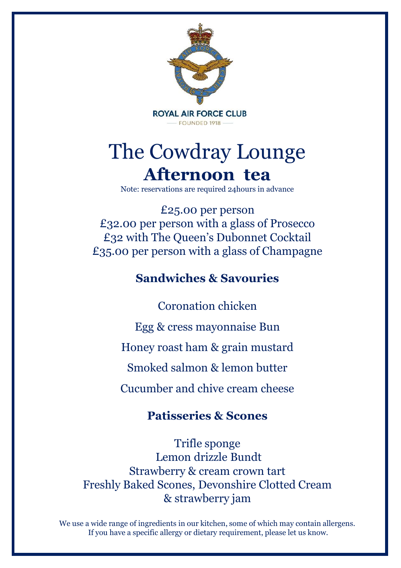

# The Cowdray Lounge **Afternoon tea**

Note: reservations are required 24hours in advance

£25.00 per person £32.00 per person with a glass of Prosecco £32 with The Queen's Dubonnet Cocktail £35.00 per person with a glass of Champagne

# **Sandwiches & Savouries**

Coronation chicken Egg & cress mayonnaise Bun Honey roast ham & grain mustard Smoked salmon & lemon butter Cucumber and chive cream cheese

# **Patisseries & Scones**

Trifle sponge Lemon drizzle Bundt Strawberry & cream crown tart Freshly Baked Scones, Devonshire Clotted Cream & strawberry jam

We use a wide range of ingredients in our kitchen, some of which may contain allergens. If you have a specific allergy or dietary requirement, please let us know.